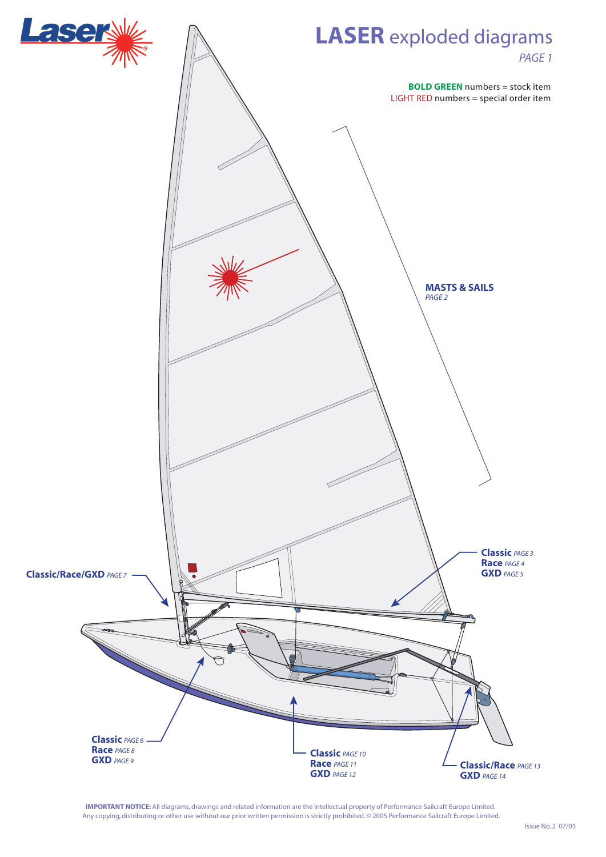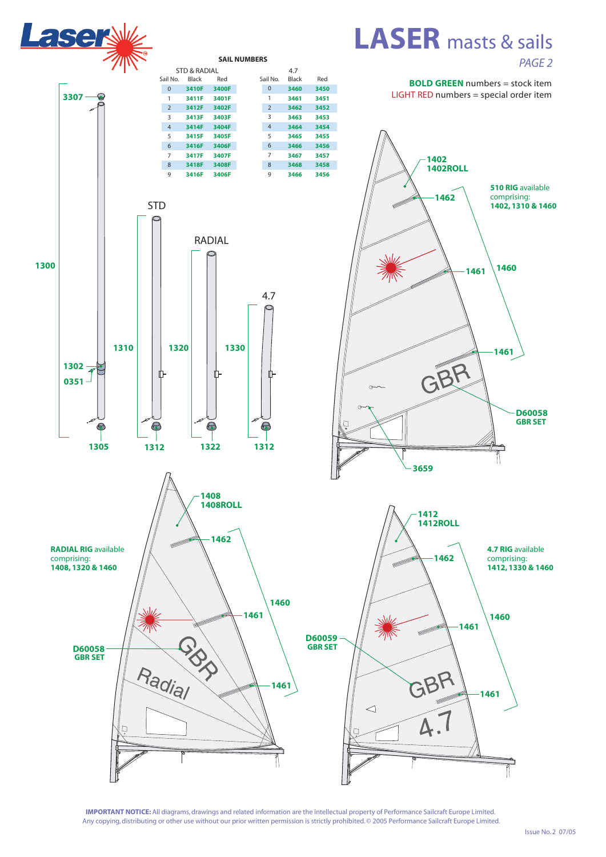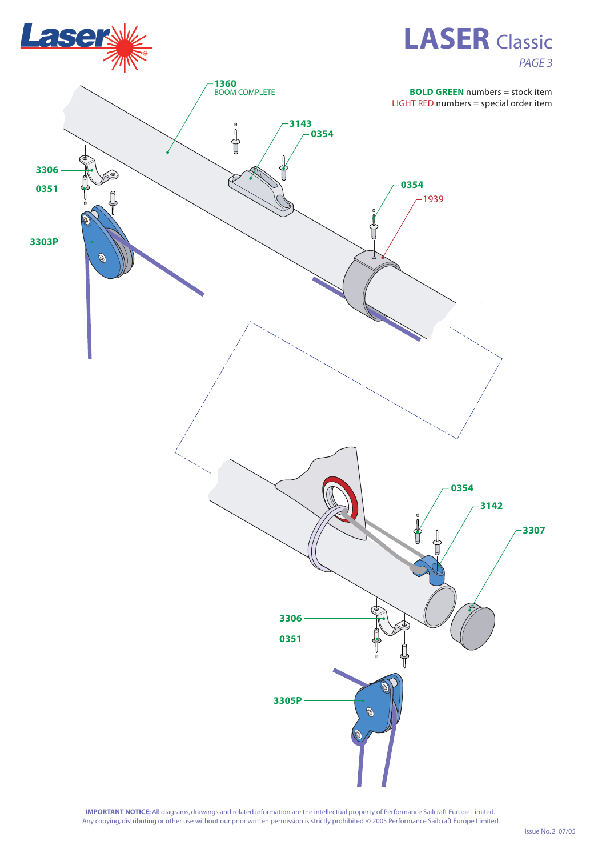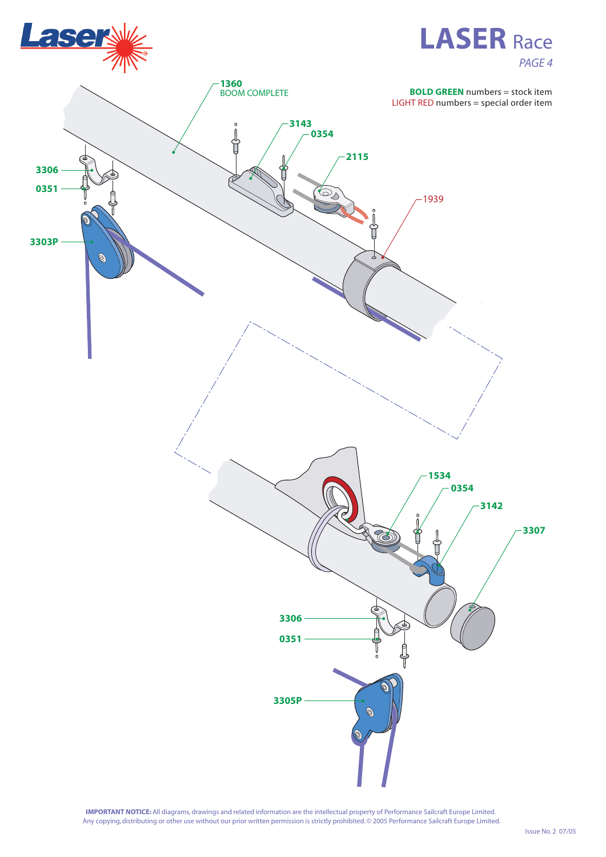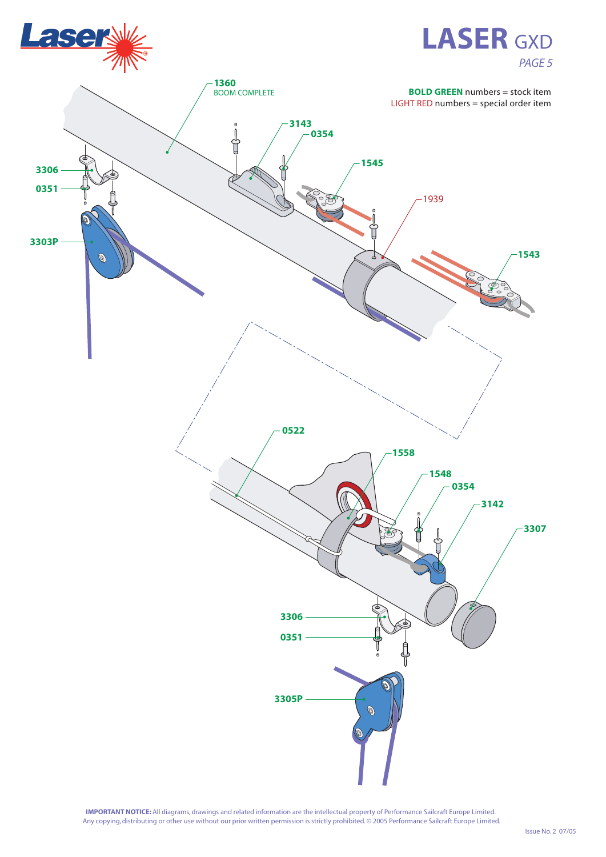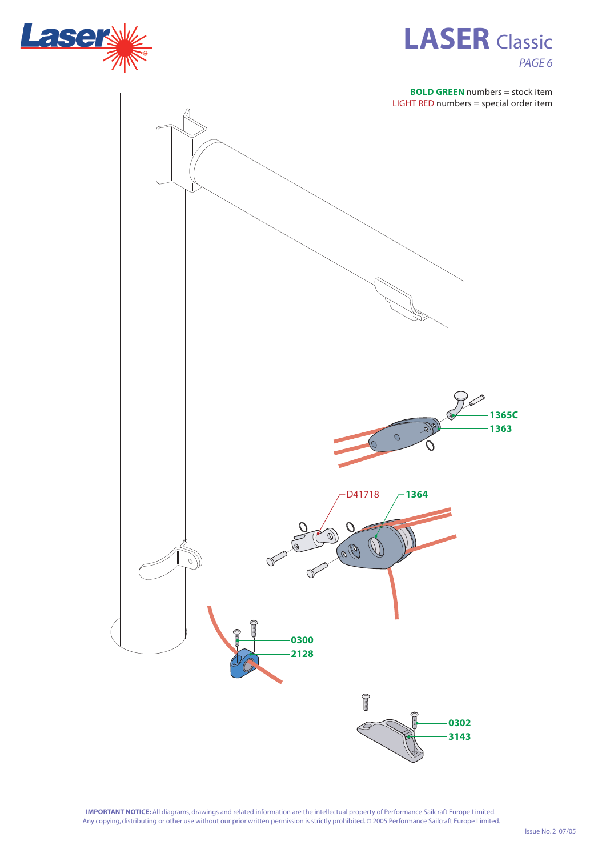



**BOLD GREEN** numbers = stock item LIGHT RED numbers = special order item

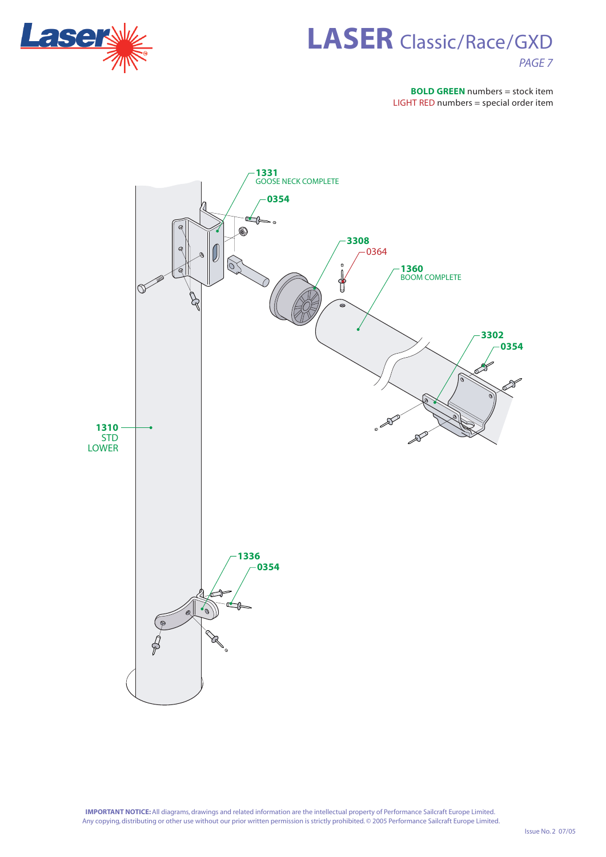

## **LASER** Classic/Race/GXD *PAGE 7*

**BOLD GREEN** numbers = stock item LIGHT RED numbers = special order item

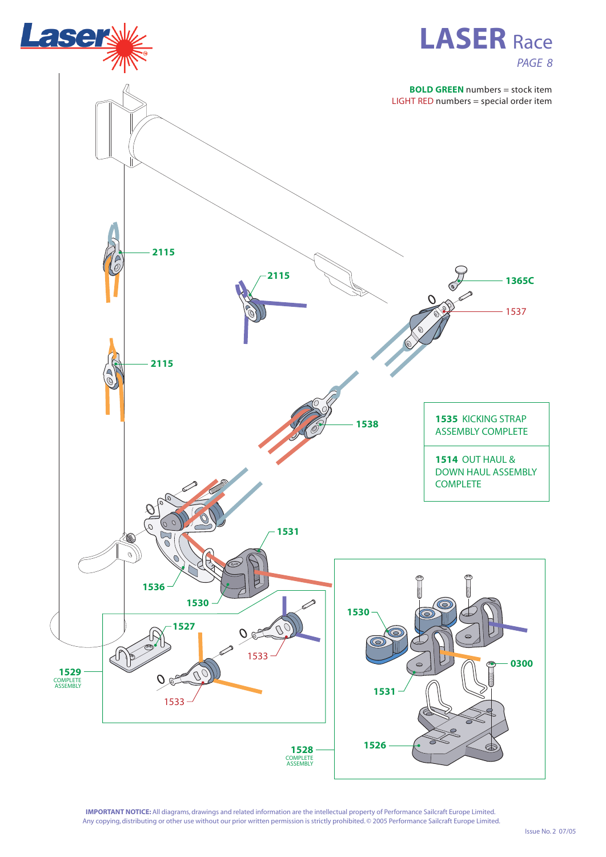

## **LASER** Race *PAGE 8*

**BOLD GREEN** numbers = stock item

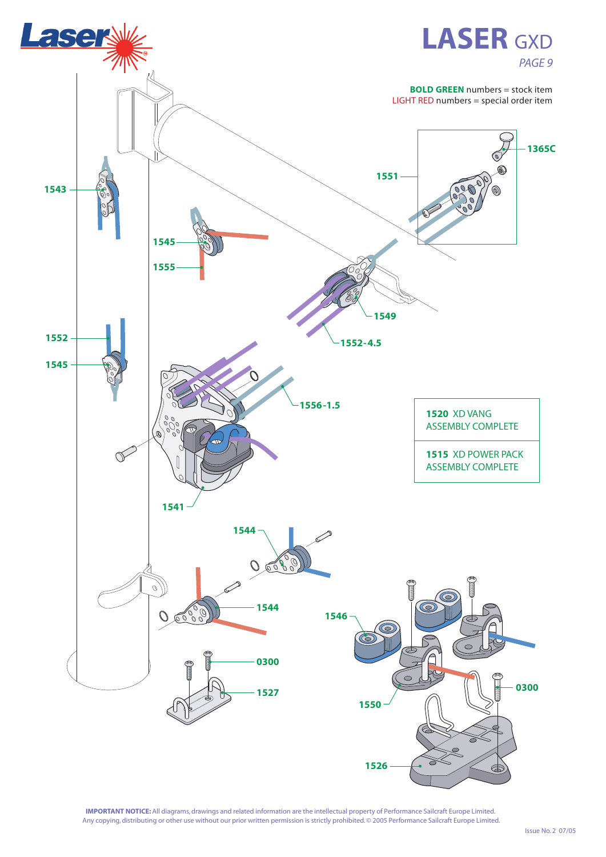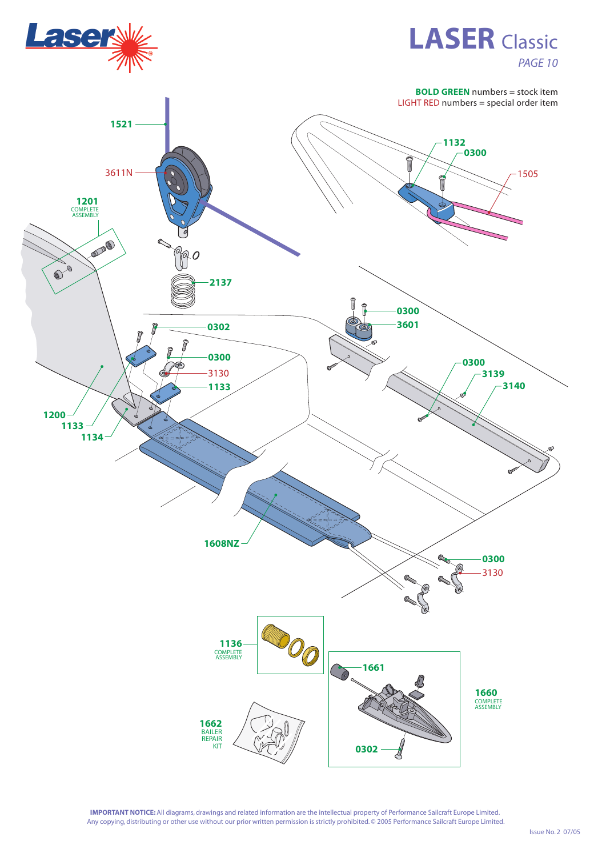

## **LASER** Classic *PAGE 10*

**BOLD GREEN** numbers = stock item LIGHT RED numbers = special order item

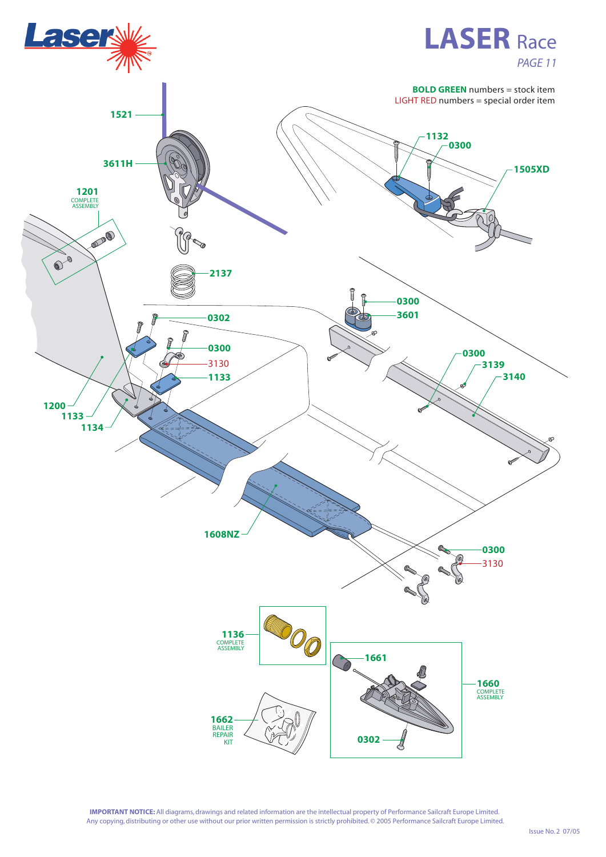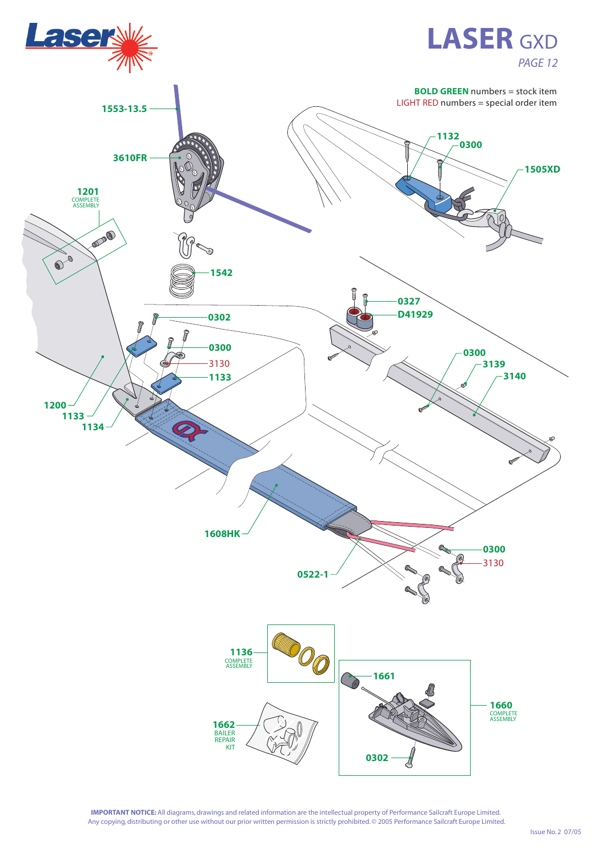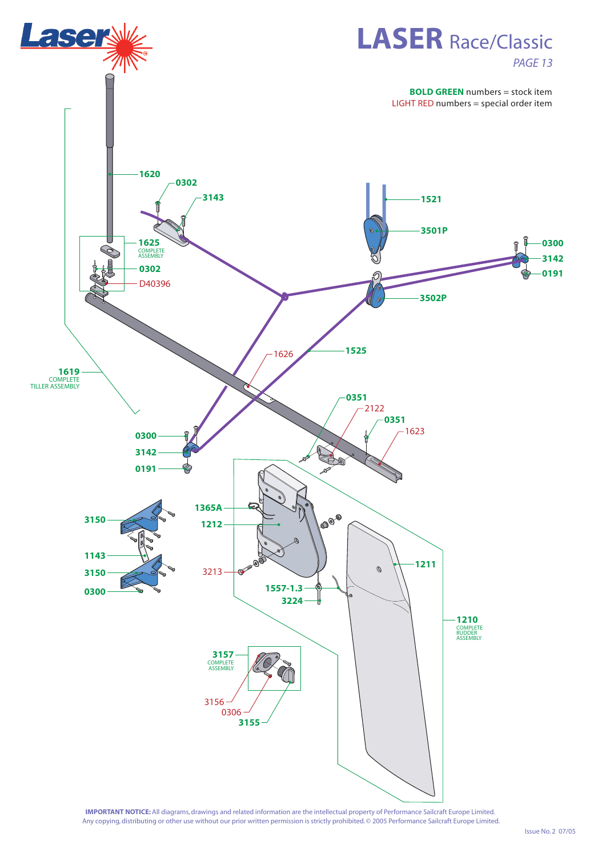